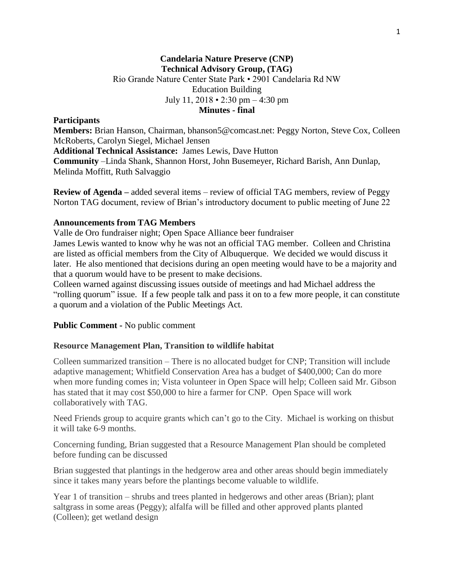# **Candelaria Nature Preserve (CNP) Technical Advisory Group, (TAG)** Rio Grande Nature Center State Park • 2901 Candelaria Rd NW Education Building July 11, 2018 • 2:30 pm – 4:30 pm **Minutes - final**

### **Participants**

**Members:** Brian Hanson, Chairman, bhanson5@comcast.net: Peggy Norton, Steve Cox, Colleen McRoberts, Carolyn Siegel, Michael Jensen **Additional Technical Assistance:** James Lewis, Dave Hutton **Community** –Linda Shank, Shannon Horst, John Busemeyer, Richard Barish, Ann Dunlap, Melinda Moffitt, Ruth Salvaggio

**Review of Agenda –** added several items – review of official TAG members, review of Peggy Norton TAG document, review of Brian's introductory document to public meeting of June 22

### **Announcements from TAG Members**

Valle de Oro fundraiser night; Open Space Alliance beer fundraiser

James Lewis wanted to know why he was not an official TAG member. Colleen and Christina are listed as official members from the City of Albuquerque. We decided we would discuss it later. He also mentioned that decisions during an open meeting would have to be a majority and that a quorum would have to be present to make decisions.

Colleen warned against discussing issues outside of meetings and had Michael address the "rolling quorum" issue. If a few people talk and pass it on to a few more people, it can constitute a quorum and a violation of the Public Meetings Act.

#### **Public Comment -** No public comment

### **Resource Management Plan, Transition to wildlife habitat**

Colleen summarized transition – There is no allocated budget for CNP; Transition will include adaptive management; Whitfield Conservation Area has a budget of \$400,000; Can do more when more funding comes in; Vista volunteer in Open Space will help; Colleen said Mr. Gibson has stated that it may cost \$50,000 to hire a farmer for CNP. Open Space will work collaboratively with TAG.

Need Friends group to acquire grants which can't go to the City. Michael is working on thisbut it will take 6-9 months.

Concerning funding, Brian suggested that a Resource Management Plan should be completed before funding can be discussed

Brian suggested that plantings in the hedgerow area and other areas should begin immediately since it takes many years before the plantings become valuable to wildlife.

Year 1 of transition – shrubs and trees planted in hedgerows and other areas (Brian); plant saltgrass in some areas (Peggy); alfalfa will be filled and other approved plants planted (Colleen); get wetland design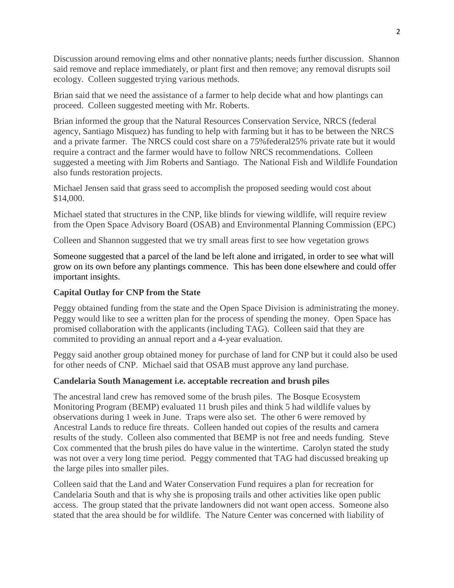Discussion around removing elms and other nonnative plants; needs further discussion. Shannon said remove and replace immediately, or plant first and then remove; any removal disrupts soil ecology. Colleen suggested trying various methods.

Brian said that we need the assistance of a farmer to help decide what and how plantings can proceed. Colleen suggested meeting with Mr. Roberts.

Brian informed the group that the Natural Resources Conservation Service, NRCS (federal agency, Santiago Misquez) has funding to help with farming but it has to be between the NRCS and a private farmer. The NRCS could cost share on a 75%federal25% private rate but it would require a contract and the farmer would have to follow NRCS recommendations. Colleen suggested a meeting with Jim Roberts and Santiago. The National Fish and Wildlife Foundation also funds restoration projects.

Michael Jensen said that grass seed to accomplish the proposed seeding would cost about \$14,000.

Michael stated that structures in the CNP, like blinds for viewing wildlife, will require review from the Open Space Advisory Board (OSAB) and Environmental Planning Commission (EPC)

Colleen and Shannon suggested that we try small areas first to see how vegetation grows

Someone suggested that a parcel of the land be left alone and irrigated, in order to see what will grow on its own before any plantings commence. This has been done elsewhere and could offer important insights.

# **Capital Outlay for CNP from the State**

Peggy obtained funding from the state and the Open Space Division is administrating the money. Peggy would like to see a written plan for the process of spending the money. Open Space has promised collaboration with the applicants (including TAG). Colleen said that they are commited to providing an annual report and a 4-year evaluation.

Peggy said another group obtained money for purchase of land for CNP but it could also be used for other needs of CNP. Michael said that OSAB must approve any land purchase.

### **Candelaria South Management i.e. acceptable recreation and brush piles**

The ancestral land crew has removed some of the brush piles. The Bosque Ecosystem Monitoring Program (BEMP) evaluated 11 brush piles and think 5 had wildlife values by observations during 1 week in June. Traps were also set. The other 6 were removed by Ancestral Lands to reduce fire threats. Colleen handed out copies of the results and camera results of the study. Colleen also commented that BEMP is not free and needs funding. Steve Cox commented that the brush piles do have value in the wintertime. Carolyn stated the study was not over a very long time period. Peggy commented that TAG had discussed breaking up the large piles into smaller piles.

Colleen said that the Land and Water Conservation Fund requires a plan for recreation for Candelaria South and that is why she is proposing trails and other activities like open public access. The group stated that the private landowners did not want open access. Someone also stated that the area should be for wildlife. The Nature Center was concerned with liability of